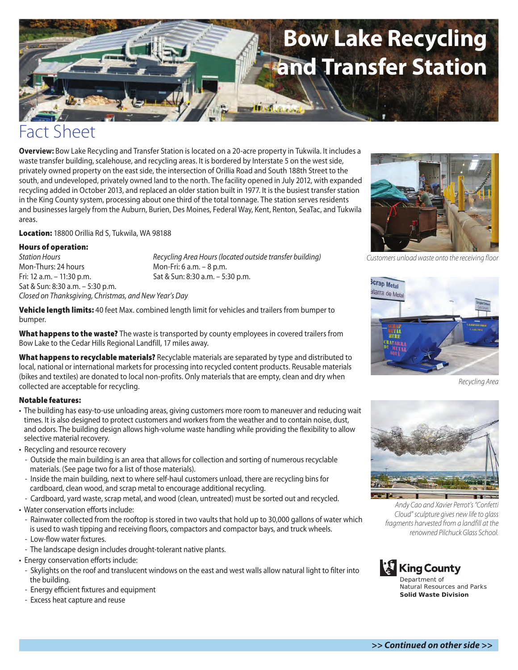# **Bow Lake Recycling and Transfer Station**

## Fact Sheet

**Overview:** Bow Lake Recycling and Transfer Station is located on a 20-acre property in Tukwila. It includes a waste transfer building, scalehouse, and recycling areas. It is bordered by Interstate 5 on the west side, privately owned property on the east side, the intersection of Orillia Road and South 188th Street to the south, and undeveloped, privately owned land to the north. The facility opened in July 2012, with expanded recycling added in October 2013, and replaced an older station built in 1977. It is the busiest transfer station in the King County system, processing about one third of the total tonnage. The station serves residents and businesses largely from the Auburn, Burien, Des Moines, Federal Way, Kent, Renton, SeaTac, and Tukwila areas.

**Location:** 18800 Orillia Rd S, Tukwila, WA 98188

#### **Hours of operation:**

Mon-Thurs: 24 hours Mon-Fri: 6 a.m. – 8 p.m. Fri: 12 a.m. – 11:30 p.m. Sat & Sun: 8:30 a.m. – 5:30 p.m. Sat & Sun: 8:30 a.m. – 5:30 p.m. *Closed on Thanksgiving, Christmas, and New Year's Day*

*Station Hours Recycling Area Hours (located outside transfer building)*

**District Ave** 

**Vehicle length limits:** 40 feet Max. combined length limit for vehicles and trailers from bumper to bumper.

**What happens to the waste?** The waste is transported by county employees in covered trailers from Bow Lake to the Cedar Hills Regional Landfill, 17 miles away.

**What happens to recyclable materials?** Recyclable materials are separated by type and distributed to local, national or international markets for processing into recycled content products. Reusable materials (bikes and textiles) are donated to local non-profits. Only materials that are empty, clean and dry when collected are acceptable for recycling.

#### **Notable features:**

- The building has easy-to-use unloading areas, giving customers more room to maneuver and reducing wait times. It is also designed to protect customers and workers from the weather and to contain noise, dust, and odors. The building design allows high-volume waste handling while providing the flexibility to allow selective material recovery.
- Recycling and resource recovery
	- Outside the main building is an area that allows for collection and sorting of numerous recyclable materials. (See page two for a list of those materials).
- Inside the main building, next to where self-haul customers unload, there are recycling bins for cardboard, clean wood, and scrap metal to encourage additional recycling.
- Cardboard, yard waste, scrap metal, and wood (clean, untreated) must be sorted out and recycled.
- Water conservation efforts include:
- Rainwater collected from the rooftop is stored in two vaults that hold up to 30,000 gallons of water which is used to wash tipping and receiving floors, compactors and compactor bays, and truck wheels.
- Low-flow water fixtures.
- The landscape design includes drought-tolerant native plants.
- Energy conservation efforts include:
	- Skylights on the roof and translucent windows on the east and west walls allow natural light to filter into the building.
	- Energy efficient fixtures and equipment
	- Excess heat capture and reuse



*Customers unload waste onto the receiving floor*



*Recycling Area*



*Andy Cao and Xavier Perrot's "Confetti Cloud" sculpture gives new life to glass fragments harvested from a landfill at the renowned Pilchuck Glass School.*